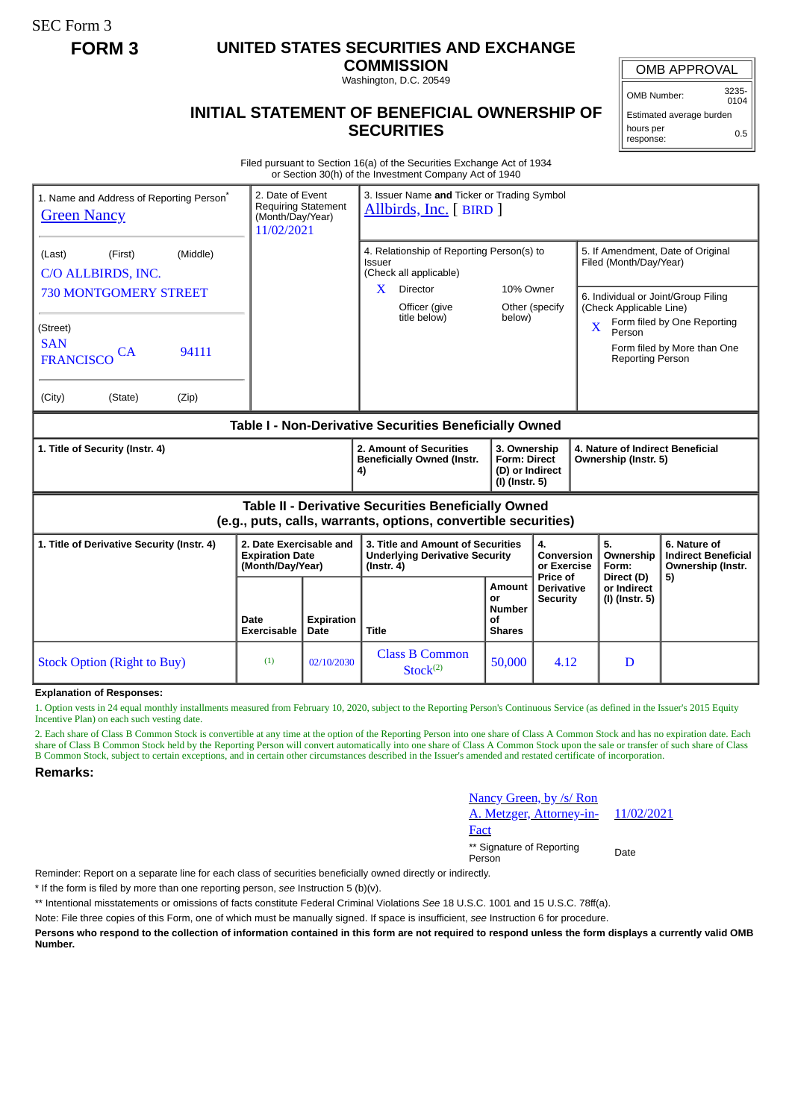SEC Form 3

## **FORM 3 UNITED STATES SECURITIES AND EXCHANGE**

**COMMISSION** Washington, D.C. 20549

OMB APPROVAL

OMB Number: 3235- 0104

0.5

Estimated average burden

hours per response:

## **INITIAL STATEMENT OF BENEFICIAL OWNERSHIP OF SECURITIES**

Filed pursuant to Section 16(a) of the Securities Exchange Act of 1934 or Section 30(h) of the Investment Company Act of 1940

| 1. Name and Address of Reporting Person <sup>®</sup><br><b>Green Nancy</b>                                                                       |                            | 2. Date of Event<br><b>Requiring Statement</b><br>(Month/Day/Year)<br>11/02/2021 |                           | 3. Issuer Name and Ticker or Trading Symbol<br>Allbirds, Inc. [BIRD]                                                            |                                                      |                                                                                                                                      |                                                                                                 |                                                                                                                                        |  |
|--------------------------------------------------------------------------------------------------------------------------------------------------|----------------------------|----------------------------------------------------------------------------------|---------------------------|---------------------------------------------------------------------------------------------------------------------------------|------------------------------------------------------|--------------------------------------------------------------------------------------------------------------------------------------|-------------------------------------------------------------------------------------------------|----------------------------------------------------------------------------------------------------------------------------------------|--|
| (Last)<br>(First)<br>C/O ALLBIRDS, INC.<br><b>730 MONTGOMERY STREET</b><br>(Street)<br><b>SAN</b><br>CA<br><b>FRANCISCO</b><br>(City)<br>(State) | (Middle)<br>94111<br>(Zip) |                                                                                  |                           | 4. Relationship of Reporting Person(s) to<br>Issuer<br>(Check all applicable)<br>Director<br>X<br>Officer (give<br>title below) | 10% Owner<br>below)                                  | Other (specify                                                                                                                       | Filed (Month/Day/Year)<br>(Check Applicable Line)<br>$\mathbf{X}$<br>Person<br>Reporting Person | 5. If Amendment, Date of Original<br>6. Individual or Joint/Group Filing<br>Form filed by One Reporting<br>Form filed by More than One |  |
| Table I - Non-Derivative Securities Beneficially Owned                                                                                           |                            |                                                                                  |                           |                                                                                                                                 |                                                      |                                                                                                                                      |                                                                                                 |                                                                                                                                        |  |
| 1. Title of Security (Instr. 4)                                                                                                                  |                            |                                                                                  |                           | 2. Amount of Securities<br><b>Beneficially Owned (Instr.</b><br>4)                                                              |                                                      | 3. Ownership<br>4. Nature of Indirect Beneficial<br><b>Form: Direct</b><br>Ownership (Instr. 5)<br>(D) or Indirect<br>(I) (Instr. 5) |                                                                                                 |                                                                                                                                        |  |
| <b>Table II - Derivative Securities Beneficially Owned</b><br>(e.g., puts, calls, warrants, options, convertible securities)                     |                            |                                                                                  |                           |                                                                                                                                 |                                                      |                                                                                                                                      |                                                                                                 |                                                                                                                                        |  |
| 1. Title of Derivative Security (Instr. 4)                                                                                                       |                            | 2. Date Exercisable and<br><b>Expiration Date</b><br>(Month/Day/Year)            |                           | 3. Title and Amount of Securities<br><b>Underlying Derivative Security</b><br>$($ Instr. 4 $)$                                  |                                                      | 4.<br>Conversion<br>or Exercise                                                                                                      | 5.<br>Ownership<br>Form:                                                                        | 6. Nature of<br><b>Indirect Beneficial</b><br>Ownership (Instr.                                                                        |  |
|                                                                                                                                                  |                            | Date<br><b>Exercisable</b>                                                       | <b>Expiration</b><br>Date | <b>Title</b>                                                                                                                    | Amount<br>or<br><b>Number</b><br>of<br><b>Shares</b> | Price of<br>Direct (D)<br><b>Derivative</b><br>or Indirect<br>(I) (Instr. 5)<br><b>Security</b>                                      |                                                                                                 | 5)                                                                                                                                     |  |
| <b>Stock Option (Right to Buy)</b>                                                                                                               |                            | (1)                                                                              | 02/10/2030                | <b>Class B Common</b><br>Stock <sup>(2)</sup>                                                                                   | 50,000                                               | 4.12                                                                                                                                 | D                                                                                               |                                                                                                                                        |  |

**Explanation of Responses:**

1. Option vests in 24 equal monthly installments measured from February 10, 2020, subject to the Reporting Person's Continuous Service (as defined in the Issuer's 2015 Equity Incentive Plan) on each such vesting date.

2. Each share of Class B Common Stock is convertible at any time at the option of the Reporting Person into one share of Class A Common Stock and has no expiration date. Each share of Class B Common Stock held by the Reporting Person will convert automatically into one share of Class A Common Stock upon the sale or transfer of such share of Class B Common Stock, subject to certain exceptions, and in certain other circumstances described in the Issuer's amended and restated certificate of incorporation.

**Remarks:**

| <u>Nancy Green, by /s/ Ron</u><br>A. Metzger, Attorney-in- | 11/02/2021 |
|------------------------------------------------------------|------------|
| Fact                                                       |            |
| ** Signature of Reporting<br>Person                        | Date       |

Reminder: Report on a separate line for each class of securities beneficially owned directly or indirectly.

\* If the form is filed by more than one reporting person, *see* Instruction 5 (b)(v).

\*\* Intentional misstatements or omissions of facts constitute Federal Criminal Violations *See* 18 U.S.C. 1001 and 15 U.S.C. 78ff(a).

Note: File three copies of this Form, one of which must be manually signed. If space is insufficient, *see* Instruction 6 for procedure.

**Persons who respond to the collection of information contained in this form are not required to respond unless the form displays a currently valid OMB Number.**